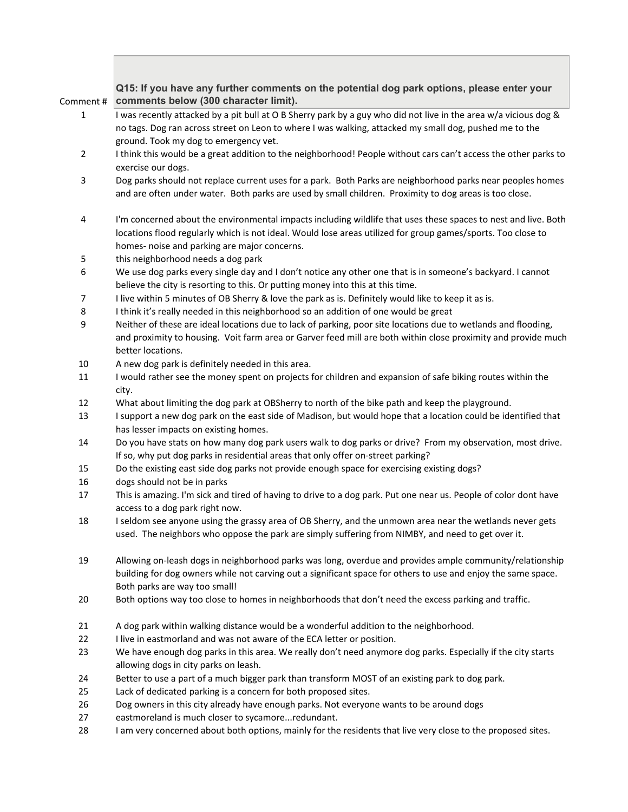| Comment# | Q15: If you have any further comments on the potential dog park options, please enter your<br>comments below (300 character limit).                                                                                                                                            |
|----------|--------------------------------------------------------------------------------------------------------------------------------------------------------------------------------------------------------------------------------------------------------------------------------|
| 1        | I was recently attacked by a pit bull at O B Sherry park by a guy who did not live in the area w/a vicious dog &<br>no tags. Dog ran across street on Leon to where I was walking, attacked my small dog, pushed me to the<br>ground. Took my dog to emergency vet.            |
| 2        | I think this would be a great addition to the neighborhood! People without cars can't access the other parks to<br>exercise our dogs.                                                                                                                                          |
| 3        | Dog parks should not replace current uses for a park. Both Parks are neighborhood parks near peoples homes<br>and are often under water. Both parks are used by small children. Proximity to dog areas is too close.                                                           |
| 4        | I'm concerned about the environmental impacts including wildlife that uses these spaces to nest and live. Both<br>locations flood regularly which is not ideal. Would lose areas utilized for group games/sports. Too close to<br>homes- noise and parking are major concerns. |
| 5        | this neighborhood needs a dog park                                                                                                                                                                                                                                             |
| 6        | We use dog parks every single day and I don't notice any other one that is in someone's backyard. I cannot<br>believe the city is resorting to this. Or putting money into this at this time.                                                                                  |
| 7        | I live within 5 minutes of OB Sherry & love the park as is. Definitely would like to keep it as is.                                                                                                                                                                            |
| 8        | I think it's really needed in this neighborhood so an addition of one would be great                                                                                                                                                                                           |
| 9        | Neither of these are ideal locations due to lack of parking, poor site locations due to wetlands and flooding,<br>and proximity to housing. Voit farm area or Garver feed mill are both within close proximity and provide much<br>better locations.                           |
| $10\,$   | A new dog park is definitely needed in this area.                                                                                                                                                                                                                              |
| 11       | I would rather see the money spent on projects for children and expansion of safe biking routes within the<br>city.                                                                                                                                                            |
| 12       | What about limiting the dog park at OBSherry to north of the bike path and keep the playground.                                                                                                                                                                                |
| 13       | I support a new dog park on the east side of Madison, but would hope that a location could be identified that<br>has lesser impacts on existing homes.                                                                                                                         |
| 14       | Do you have stats on how many dog park users walk to dog parks or drive? From my observation, most drive.<br>If so, why put dog parks in residential areas that only offer on-street parking?                                                                                  |
| 15       | Do the existing east side dog parks not provide enough space for exercising existing dogs?                                                                                                                                                                                     |
| 16       | dogs should not be in parks                                                                                                                                                                                                                                                    |
| 17       | This is amazing. I'm sick and tired of having to drive to a dog park. Put one near us. People of color dont have<br>access to a dog park right now.                                                                                                                            |
| 18       | I seldom see anyone using the grassy area of OB Sherry, and the unmown area near the wetlands never gets<br>used. The neighbors who oppose the park are simply suffering from NIMBY, and need to get over it.                                                                  |
| 19       | Allowing on-leash dogs in neighborhood parks was long, overdue and provides ample community/relationship<br>building for dog owners while not carving out a significant space for others to use and enjoy the same space.<br>Both parks are way too small!                     |
| 20       | Both options way too close to homes in neighborhoods that don't need the excess parking and traffic.                                                                                                                                                                           |
| 21       | A dog park within walking distance would be a wonderful addition to the neighborhood.                                                                                                                                                                                          |
| 22       | I live in eastmorland and was not aware of the ECA letter or position.                                                                                                                                                                                                         |
| 23       | We have enough dog parks in this area. We really don't need anymore dog parks. Especially if the city starts<br>allowing dogs in city parks on leash.                                                                                                                          |
| 24       | Better to use a part of a much bigger park than transform MOST of an existing park to dog park.                                                                                                                                                                                |
| 25       | Lack of dedicated parking is a concern for both proposed sites.                                                                                                                                                                                                                |
| 26       | Dog owners in this city already have enough parks. Not everyone wants to be around dogs                                                                                                                                                                                        |
| 27       | eastmoreland is much closer to sycamoreredundant.                                                                                                                                                                                                                              |
| 28       | I am very concerned about both options, mainly for the residents that live very close to the proposed sites.                                                                                                                                                                   |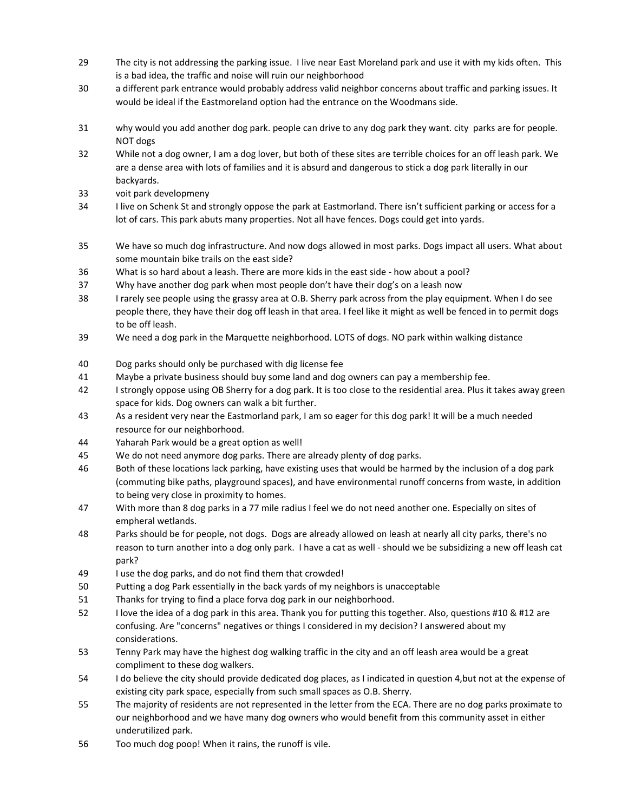- 29 The city is not addressing the parking issue. I live near East Moreland park and use it with my kids often. This is a bad idea, the traffic and noise will ruin our neighborhood
- 30 a different park entrance would probably address valid neighbor concerns about traffic and parking issues. It would be ideal if the Eastmoreland option had the entrance on the Woodmans side.
- 31 why would you add another dog park. people can drive to any dog park they want. city parks are for people. NOT dogs
- 32 While not a dog owner, I am a dog lover, but both of these sites are terrible choices for an off leash park. We are a dense area with lots of families and it is absurd and dangerous to stick a dog park literally in our backyards.
- 33 voit park developmeny
- 34 I live on Schenk St and strongly oppose the park at Eastmorland. There isn't sufficient parking or access for a lot of cars. This park abuts many properties. Not all have fences. Dogs could get into yards.
- 35 We have so much dog infrastructure. And now dogs allowed in most parks. Dogs impact all users. What about some mountain bike trails on the east side?
- 36 What is so hard about a leash. There are more kids in the east side ‐ how about a pool?
- 37 Why have another dog park when most people don't have their dog's on a leash now
- 38 I rarely see people using the grassy area at O.B. Sherry park across from the play equipment. When I do see people there, they have their dog off leash in that area. I feel like it might as well be fenced in to permit dogs to be off leash.
- 39 We need a dog park in the Marquette neighborhood. LOTS of dogs. NO park within walking distance
- 40 Dog parks should only be purchased with dig license fee
- 41 Maybe a private business should buy some land and dog owners can pay a membership fee.
- 42 I strongly oppose using OB Sherry for a dog park. It is too close to the residential area. Plus it takes away green space for kids. Dog owners can walk a bit further.
- 43 As a resident very near the Eastmorland park, I am so eager for this dog park! It will be a much needed resource for our neighborhood.
- 44 Yaharah Park would be a great option as well!
- 45 We do not need anymore dog parks. There are already plenty of dog parks.
- 46 Both of these locations lack parking, have existing uses that would be harmed by the inclusion of a dog park (commuting bike paths, playground spaces), and have environmental runoff concerns from waste, in addition to being very close in proximity to homes.
- 47 With more than 8 dog parks in a 77 mile radius I feel we do not need another one. Especially on sites of empheral wetlands.
- 48 Parks should be for people, not dogs. Dogs are already allowed on leash at nearly all city parks, there's no reason to turn another into a dog only park. I have a cat as well ‐ should we be subsidizing a new off leash cat park?
- 49 I use the dog parks, and do not find them that crowded!
- 50 Putting a dog Park essentially in the back yards of my neighbors is unacceptable
- 51 Thanks for trying to find a place forva dog park in our neighborhood.
- 52 I love the idea of a dog park in this area. Thank you for putting this together. Also, questions #10 & #12 are confusing. Are "concerns" negatives or things I considered in my decision? I answered about my considerations.
- 53 Tenny Park may have the highest dog walking traffic in the city and an off leash area would be a great compliment to these dog walkers.
- 54 I do believe the city should provide dedicated dog places, as I indicated in question 4,but not at the expense of existing city park space, especially from such small spaces as O.B. Sherry.
- 55 The majority of residents are not represented in the letter from the ECA. There are no dog parks proximate to our neighborhood and we have many dog owners who would benefit from this community asset in either underutilized park.
- 56 Too much dog poop! When it rains, the runoff is vile.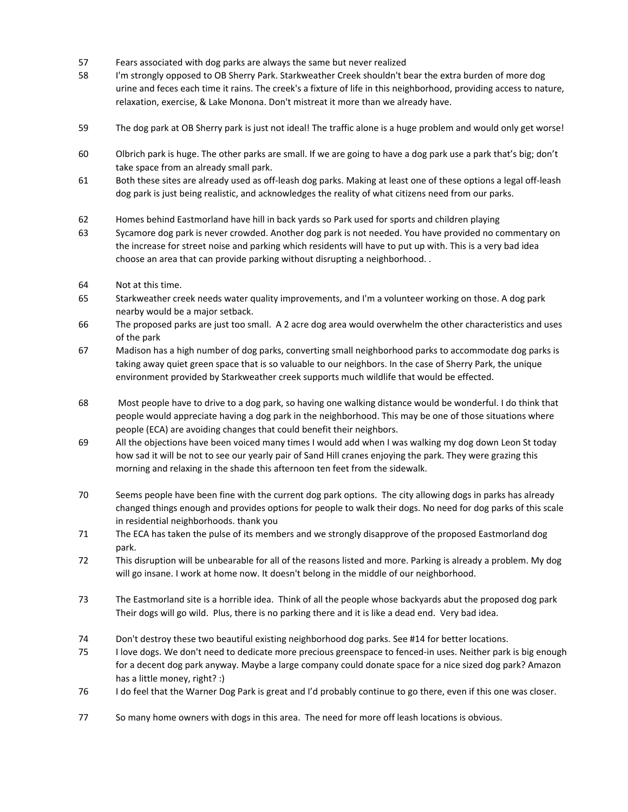- 57 Fears associated with dog parks are always the same but never realized
- 58 I'm strongly opposed to OB Sherry Park. Starkweather Creek shouldn't bear the extra burden of more dog urine and feces each time it rains. The creek's a fixture of life in this neighborhood, providing access to nature, relaxation, exercise, & Lake Monona. Don't mistreat it more than we already have.
- 59 The dog park at OB Sherry park is just not ideal! The traffic alone is a huge problem and would only get worse!
- 60 Olbrich park is huge. The other parks are small. If we are going to have a dog park use a park that's big; don't take space from an already small park.
- 61 Both these sites are already used as off-leash dog parks. Making at least one of these options a legal off-leash dog park is just being realistic, and acknowledges the reality of what citizens need from our parks.
- 62 Homes behind Eastmorland have hill in back yards so Park used for sports and children playing
- 63 Sycamore dog park is never crowded. Another dog park is not needed. You have provided no commentary on the increase for street noise and parking which residents will have to put up with. This is a very bad idea choose an area that can provide parking without disrupting a neighborhood. .
- 64 Not at this time.
- 65 Starkweather creek needs water quality improvements, and I'm a volunteer working on those. A dog park nearby would be a major setback.
- 66 The proposed parks are just too small. A 2 acre dog area would overwhelm the other characteristics and uses of the park
- 67 Madison has a high number of dog parks, converting small neighborhood parks to accommodate dog parks is taking away quiet green space that is so valuable to our neighbors. In the case of Sherry Park, the unique environment provided by Starkweather creek supports much wildlife that would be effected.
- 68 Most people have to drive to a dog park, so having one walking distance would be wonderful. I do think that people would appreciate having a dog park in the neighborhood. This may be one of those situations where people (ECA) are avoiding changes that could benefit their neighbors.
- 69 All the objections have been voiced many times I would add when I was walking my dog down Leon St today how sad it will be not to see our yearly pair of Sand Hill cranes enjoying the park. They were grazing this morning and relaxing in the shade this afternoon ten feet from the sidewalk.
- 70 Seems people have been fine with the current dog park options. The city allowing dogs in parks has already changed things enough and provides options for people to walk their dogs. No need for dog parks of this scale in residential neighborhoods. thank you
- 71 The ECA has taken the pulse of its members and we strongly disapprove of the proposed Eastmorland dog park.
- 72 This disruption will be unbearable for all of the reasons listed and more. Parking is already a problem. My dog will go insane. I work at home now. It doesn't belong in the middle of our neighborhood.
- 73 The Eastmorland site is a horrible idea. Think of all the people whose backyards abut the proposed dog park Their dogs will go wild. Plus, there is no parking there and it is like a dead end. Very bad idea.
- 74 Don't destroy these two beautiful existing neighborhood dog parks. See #14 for better locations.
- 75 I love dogs. We don't need to dedicate more precious greenspace to fenced‐in uses. Neither park is big enough for a decent dog park anyway. Maybe a large company could donate space for a nice sized dog park? Amazon has a little money, right? :)
- 76 I do feel that the Warner Dog Park is great and I'd probably continue to go there, even if this one was closer.
- 77 So many home owners with dogs in this area. The need for more off leash locations is obvious.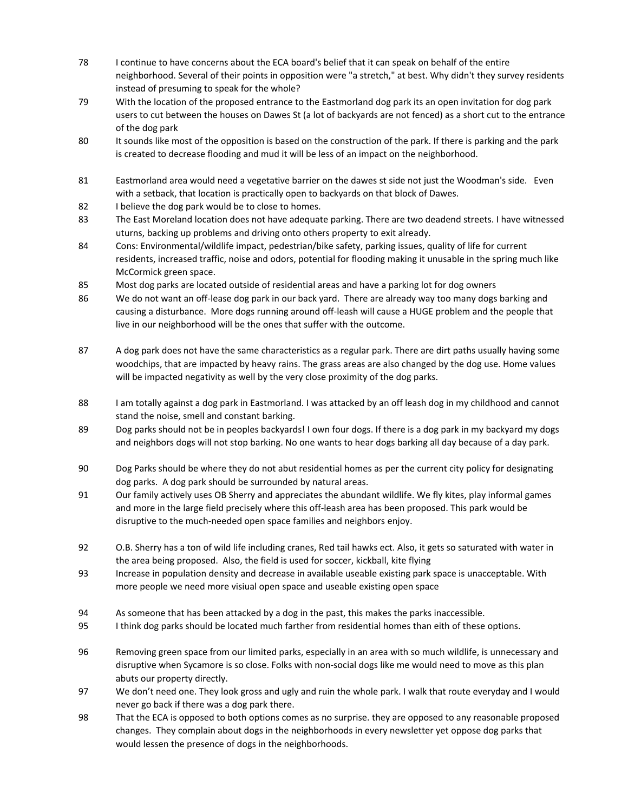- 78 I continue to have concerns about the ECA board's belief that it can speak on behalf of the entire neighborhood. Several of their points in opposition were "a stretch," at best. Why didn't they survey residents instead of presuming to speak for the whole?
- 79 With the location of the proposed entrance to the Eastmorland dog park its an open invitation for dog park users to cut between the houses on Dawes St (a lot of backyards are not fenced) as a short cut to the entrance of the dog park
- 80 It sounds like most of the opposition is based on the construction of the park. If there is parking and the park is created to decrease flooding and mud it will be less of an impact on the neighborhood.
- 81 Eastmorland area would need a vegetative barrier on the dawes st side not just the Woodman's side. Even with a setback, that location is practically open to backyards on that block of Dawes.
- 82 I believe the dog park would be to close to homes.
- 83 The East Moreland location does not have adequate parking. There are two deadend streets. I have witnessed uturns, backing up problems and driving onto others property to exit already.
- 84 Cons: Environmental/wildlife impact, pedestrian/bike safety, parking issues, quality of life for current residents, increased traffic, noise and odors, potential for flooding making it unusable in the spring much like McCormick green space.
- 85 Most dog parks are located outside of residential areas and have a parking lot for dog owners
- 86 We do not want an off-lease dog park in our back yard. There are already way too many dogs barking and causing a disturbance. More dogs running around off‐leash will cause a HUGE problem and the people that live in our neighborhood will be the ones that suffer with the outcome.
- 87 A dog park does not have the same characteristics as a regular park. There are dirt paths usually having some woodchips, that are impacted by heavy rains. The grass areas are also changed by the dog use. Home values will be impacted negativity as well by the very close proximity of the dog parks.
- 88 I am totally against a dog park in Eastmorland. I was attacked by an off leash dog in my childhood and cannot stand the noise, smell and constant barking.
- 89 Dog parks should not be in peoples backyards! I own four dogs. If there is a dog park in my backyard my dogs and neighbors dogs will not stop barking. No one wants to hear dogs barking all day because of a day park.
- 90 Dog Parks should be where they do not abut residential homes as per the current city policy for designating dog parks. A dog park should be surrounded by natural areas.
- 91 Our family actively uses OB Sherry and appreciates the abundant wildlife. We fly kites, play informal games and more in the large field precisely where this off‐leash area has been proposed. This park would be disruptive to the much‐needed open space families and neighbors enjoy.
- 92 O.B. Sherry has a ton of wild life including cranes, Red tail hawks ect. Also, it gets so saturated with water in the area being proposed. Also, the field is used for soccer, kickball, kite flying
- 93 Increase in population density and decrease in available useable existing park space is unacceptable. With more people we need more visiual open space and useable existing open space
- 94 As someone that has been attacked by a dog in the past, this makes the parks inaccessible.
- 95 I think dog parks should be located much farther from residential homes than eith of these options.
- 96 Removing green space from our limited parks, especially in an area with so much wildlife, is unnecessary and disruptive when Sycamore is so close. Folks with non‐social dogs like me would need to move as this plan abuts our property directly.
- 97 We don't need one. They look gross and ugly and ruin the whole park. I walk that route everyday and I would never go back if there was a dog park there.
- 98 That the ECA is opposed to both options comes as no surprise. they are opposed to any reasonable proposed changes. They complain about dogs in the neighborhoods in every newsletter yet oppose dog parks that would lessen the presence of dogs in the neighborhoods.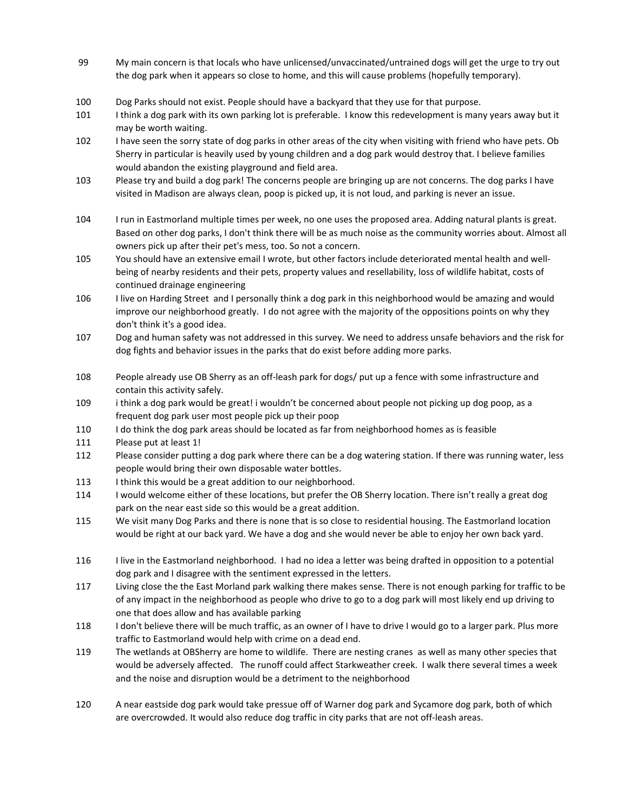- 99 My main concern is that locals who have unlicensed/unvaccinated/untrained dogs will get the urge to try out the dog park when it appears so close to home, and this will cause problems (hopefully temporary).
- 100 Dog Parks should not exist. People should have a backyard that they use for that purpose.
- 101 I think a dog park with its own parking lot is preferable. I know this redevelopment is many years away but it may be worth waiting.
- 102 I have seen the sorry state of dog parks in other areas of the city when visiting with friend who have pets. Ob Sherry in particular is heavily used by young children and a dog park would destroy that. I believe families would abandon the existing playground and field area.
- 103 Please try and build a dog park! The concerns people are bringing up are not concerns. The dog parks I have visited in Madison are always clean, poop is picked up, it is not loud, and parking is never an issue.
- 104 I run in Eastmorland multiple times per week, no one uses the proposed area. Adding natural plants is great. Based on other dog parks, I don't think there will be as much noise as the community worries about. Almost all owners pick up after their pet's mess, too. So not a concern.
- 105 You should have an extensive email I wrote, but other factors include deteriorated mental health and wellbeing of nearby residents and their pets, property values and resellability, loss of wildlife habitat, costs of continued drainage engineering
- 106 I live on Harding Street and I personally think a dog park in this neighborhood would be amazing and would improve our neighborhood greatly. I do not agree with the majority of the oppositions points on why they don't think it's a good idea.
- 107 Dog and human safety was not addressed in this survey. We need to address unsafe behaviors and the risk for dog fights and behavior issues in the parks that do exist before adding more parks.
- 108 People already use OB Sherry as an off‐leash park for dogs/ put up a fence with some infrastructure and contain this activity safely.
- 109 i think a dog park would be great! i wouldn't be concerned about people not picking up dog poop, as a frequent dog park user most people pick up their poop
- 110 I do think the dog park areas should be located as far from neighborhood homes as is feasible
- 111 Please put at least 1!
- 112 Please consider putting a dog park where there can be a dog watering station. If there was running water, less people would bring their own disposable water bottles.
- 113 I think this would be a great addition to our neighborhood.
- 114 I would welcome either of these locations, but prefer the OB Sherry location. There isn't really a great dog park on the near east side so this would be a great addition.
- 115 We visit many Dog Parks and there is none that is so close to residential housing. The Eastmorland location would be right at our back yard. We have a dog and she would never be able to enjoy her own back yard.
- 116 I live in the Eastmorland neighborhood. I had no idea a letter was being drafted in opposition to a potential dog park and I disagree with the sentiment expressed in the letters.
- 117 Living close the the East Morland park walking there makes sense. There is not enough parking for traffic to be of any impact in the neighborhood as people who drive to go to a dog park will most likely end up driving to one that does allow and has available parking
- 118 I don't believe there will be much traffic, as an owner of I have to drive I would go to a larger park. Plus more traffic to Eastmorland would help with crime on a dead end.
- 119 The wetlands at OBSherry are home to wildlife. There are nesting cranes as well as many other species that would be adversely affected. The runoff could affect Starkweather creek. I walk there several times a week and the noise and disruption would be a detriment to the neighborhood
- 120 A near eastside dog park would take pressue off of Warner dog park and Sycamore dog park, both of which are overcrowded. It would also reduce dog traffic in city parks that are not off‐leash areas.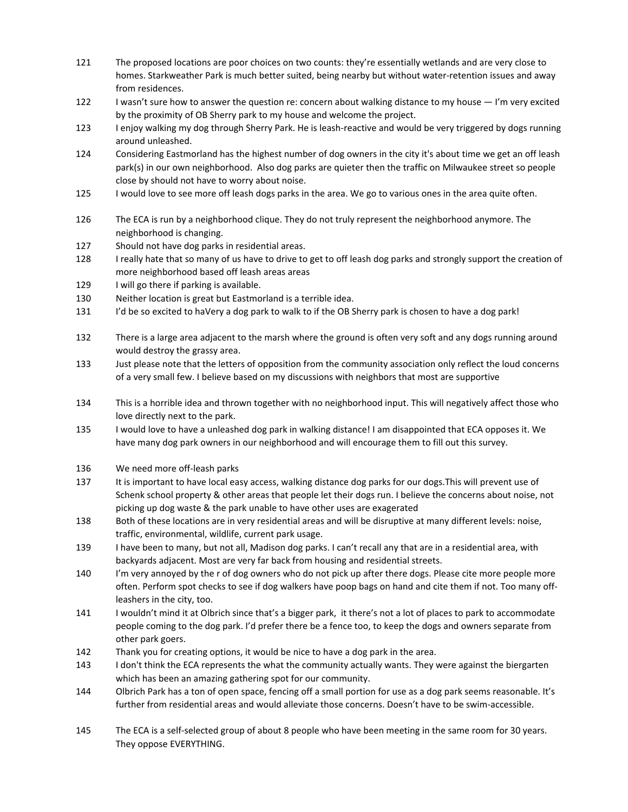- 121 The proposed locations are poor choices on two counts: they're essentially wetlands and are very close to homes. Starkweather Park is much better suited, being nearby but without water-retention issues and away from residences.
- 122 I wasn't sure how to answer the question re: concern about walking distance to my house I'm very excited by the proximity of OB Sherry park to my house and welcome the project.
- 123 I enjoy walking my dog through Sherry Park. He is leash-reactive and would be very triggered by dogs running around unleashed.
- 124 Considering Eastmorland has the highest number of dog owners in the city it's about time we get an off leash park(s) in our own neighborhood. Also dog parks are quieter then the traffic on Milwaukee street so people close by should not have to worry about noise.
- 125 I would love to see more off leash dogs parks in the area. We go to various ones in the area quite often.
- 126 The ECA is run by a neighborhood clique. They do not truly represent the neighborhood anymore. The neighborhood is changing.
- 127 Should not have dog parks in residential areas.
- 128 I really hate that so many of us have to drive to get to off leash dog parks and strongly support the creation of more neighborhood based off leash areas areas
- 129 I will go there if parking is available.
- 130 Neither location is great but Eastmorland is a terrible idea.
- 131 I'd be so excited to haVery a dog park to walk to if the OB Sherry park is chosen to have a dog park!
- 132 There is a large area adjacent to the marsh where the ground is often very soft and any dogs running around would destroy the grassy area.
- 133 Just please note that the letters of opposition from the community association only reflect the loud concerns of a very small few. I believe based on my discussions with neighbors that most are supportive
- 134 This is a horrible idea and thrown together with no neighborhood input. This will negatively affect those who love directly next to the park.
- 135 I would love to have a unleashed dog park in walking distance! I am disappointed that ECA opposes it. We have many dog park owners in our neighborhood and will encourage them to fill out this survey.
- 136 We need more off-leash parks
- 137 It is important to have local easy access, walking distance dog parks for our dogs. This will prevent use of Schenk school property & other areas that people let their dogs run. I believe the concerns about noise, not picking up dog waste & the park unable to have other uses are exagerated
- 138 Both of these locations are in very residential areas and will be disruptive at many different levels: noise, traffic, environmental, wildlife, current park usage.
- 139 I have been to many, but not all, Madison dog parks. I can't recall any that are in a residential area, with backyards adjacent. Most are very far back from housing and residential streets.
- 140 I'm very annoyed by the r of dog owners who do not pick up after there dogs. Please cite more people more often. Perform spot checks to see if dog walkers have poop bags on hand and cite them if not. Too many off‐ leashers in the city, too.
- 141 I wouldn't mind it at Olbrich since that's a bigger park, it there's not a lot of places to park to accommodate people coming to the dog park. I'd prefer there be a fence too, to keep the dogs and owners separate from other park goers.
- 142 Thank you for creating options, it would be nice to have a dog park in the area.
- 143 I don't think the ECA represents the what the community actually wants. They were against the biergarten which has been an amazing gathering spot for our community.
- 144 Olbrich Park has a ton of open space, fencing off a small portion for use as a dog park seems reasonable. It's further from residential areas and would alleviate those concerns. Doesn't have to be swim‐accessible.
- 145 The ECA is a self-selected group of about 8 people who have been meeting in the same room for 30 years. They oppose EVERYTHING.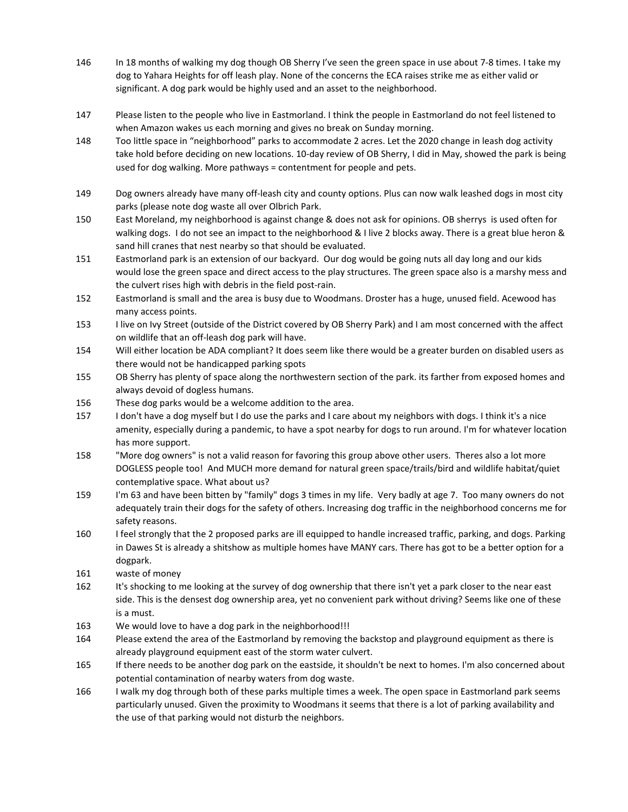- 146 In 18 months of walking my dog though OB Sherry I've seen the green space in use about 7‐8 times. I take my dog to Yahara Heights for off leash play. None of the concerns the ECA raises strike me as either valid or significant. A dog park would be highly used and an asset to the neighborhood.
- 147 Please listen to the people who live in Eastmorland. I think the people in Eastmorland do not feel listened to when Amazon wakes us each morning and gives no break on Sunday morning.
- 148 Too little space in "neighborhood" parks to accommodate 2 acres. Let the 2020 change in leash dog activity take hold before deciding on new locations. 10‐day review of OB Sherry, I did in May, showed the park is being used for dog walking. More pathways = contentment for people and pets.
- 149 Dog owners already have many off-leash city and county options. Plus can now walk leashed dogs in most city parks (please note dog waste all over Olbrich Park.
- 150 East Moreland, my neighborhood is against change & does not ask for opinions. OB sherrys is used often for walking dogs. I do not see an impact to the neighborhood & I live 2 blocks away. There is a great blue heron & sand hill cranes that nest nearby so that should be evaluated.
- 151 Eastmorland park is an extension of our backyard. Our dog would be going nuts all day long and our kids would lose the green space and direct access to the play structures. The green space also is a marshy mess and the culvert rises high with debris in the field post-rain.
- 152 Eastmorland is small and the area is busy due to Woodmans. Droster has a huge, unused field. Acewood has many access points.
- 153 I live on Ivy Street (outside of the District covered by OB Sherry Park) and I am most concerned with the affect on wildlife that an off‐leash dog park will have.
- 154 Will either location be ADA compliant? It does seem like there would be a greater burden on disabled users as there would not be handicapped parking spots
- 155 OB Sherry has plenty of space along the northwestern section of the park. its farther from exposed homes and always devoid of dogless humans.
- 156 These dog parks would be a welcome addition to the area.
- 157 I don't have a dog myself but I do use the parks and I care about my neighbors with dogs. I think it's a nice amenity, especially during a pandemic, to have a spot nearby for dogs to run around. I'm for whatever location has more support.
- 158 "More dog owners" is not a valid reason for favoring this group above other users. Theres also a lot more DOGLESS people too! And MUCH more demand for natural green space/trails/bird and wildlife habitat/quiet contemplative space. What about us?
- 159 I'm 63 and have been bitten by "family" dogs 3 times in my life. Very badly at age 7. Too many owners do not adequately train their dogs for the safety of others. Increasing dog traffic in the neighborhood concerns me for safety reasons.
- 160 I feel strongly that the 2 proposed parks are ill equipped to handle increased traffic, parking, and dogs. Parking in Dawes St is already a shitshow as multiple homes have MANY cars. There has got to be a better option for a dogpark.
- 161 waste of money
- 162 It's shocking to me looking at the survey of dog ownership that there isn't yet a park closer to the near east side. This is the densest dog ownership area, yet no convenient park without driving? Seems like one of these is a must.
- 163 We would love to have a dog park in the neighborhood!!!
- 164 Please extend the area of the Eastmorland by removing the backstop and playground equipment as there is already playground equipment east of the storm water culvert.
- 165 If there needs to be another dog park on the eastside, it shouldn't be next to homes. I'm also concerned about potential contamination of nearby waters from dog waste.
- 166 I walk my dog through both of these parks multiple times a week. The open space in Eastmorland park seems particularly unused. Given the proximity to Woodmans it seems that there is a lot of parking availability and the use of that parking would not disturb the neighbors.